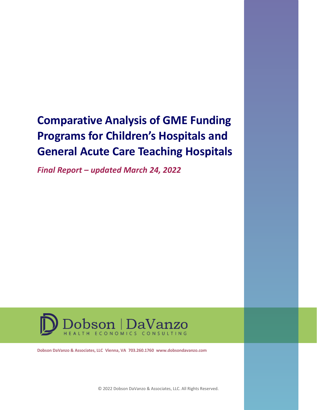## **Comparative Analysis of GME Funding Programs for Children's Hospitals and General Acute Care Teaching Hospitals**

*Final Report – updated March 24, 2022*



**Dobson DaVanzo & Associates, LLC Vienna, VA 703.260.1760 www.dobsondavanzo.com**

© 2022 Dobson DaVanzo & Associates, LLC. All Rights Reserved.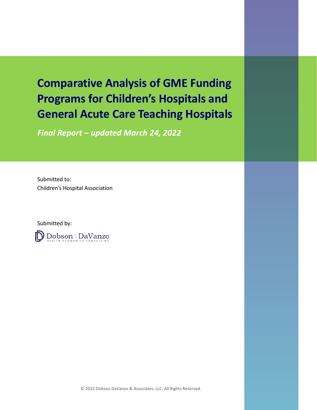## **Comparative Analysis of GME Funding Programs for Children's Hospitals and General Acute Care Teaching Hospitals**

*Final Report – updated March 24, 2022*

Submitted to: Children's Hospital Association

Submitted by:

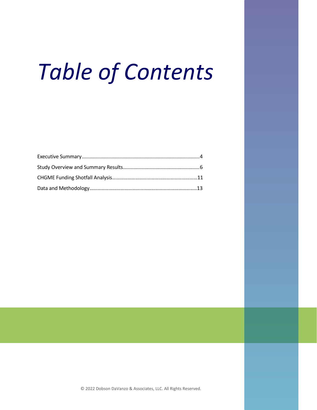## *Table of Contents*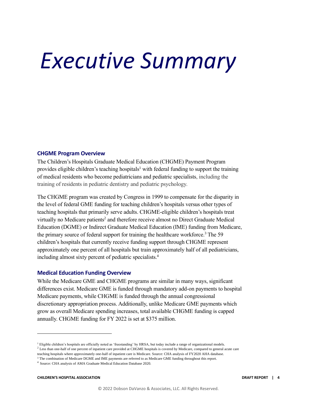## <span id="page-3-0"></span>*Executive Summary*

### **CHGME Program Overview**

The Children's Hospitals Graduate Medical Education (CHGME) Payment Program provides eligible children's teaching hospitals<sup>1</sup> with federal funding to support the training of medical residents who become pediatricians and pediatric specialists, including the training of residents in pediatric dentistry and pediatric psychology.

The CHGME program was created by Congress in 1999 to compensate for the disparity in the level of federal GME funding for teaching children's hospitals versus other types of teaching hospitals that primarily serve adults. CHGME-eligible children's hospitals treat virtually no Medicare patients<sup>2</sup> and therefore receive almost no Direct Graduate Medical Education (DGME) or Indirect Graduate Medical Education (IME) funding from Medicare, the primary source of federal support for training the healthcare workforce.<sup>3</sup> The 59 children's hospitals that currently receive funding support through CHGME represent approximately one percent of all hospitals but train approximately half of all pediatricians, including almost sixty percent of pediatric specialists.<sup>4</sup>

### **Medical Education Funding Overview**

While the Medicare GME and CHGME programs are similar in many ways, significant differences exist. Medicare GME is funded through mandatory add-on payments to hospital Medicare payments, while CHGME is funded through the annual congressional discretionary appropriation process. Additionally, unlike Medicare GME payments which grow as overall Medicare spending increases, total available CHGME funding is capped annually. CHGME funding for FY 2022 is set at \$375 million.

<sup>&</sup>lt;sup>1</sup> Eligible children's hospitals are officially noted as 'freestanding' by HRSA, but today include a range of organizational models. <sup>2</sup> Less than one-half of one percent of inpatient care provided at CHGME hospitals is covered by Medicare, compared to general acute care teaching hospitals where approximately one-half of inpatient care is Medicare. Source: CHA analysis of FY2020 AHA database.

<sup>&</sup>lt;sup>3</sup> The combination of Medicare DGME and IME payments are referred to as Medicare GME funding throughout this report.

<sup>4</sup> Source: CHA analysis of AMA Graduate Medical Education Database 2020.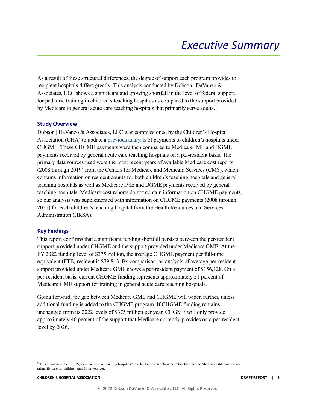As a result of these structural differences, the degree of support each program provides to recipient hospitals differs greatly. This analysis conducted by Dobson | DaVanzo & Associates, LLC shows a significant and growing shortfall in the level of federal support for pediatric training in children's teaching hospitals as compared to the support provided by Medicare to general acute care teaching hospitals that primarily serve adults.<sup>5</sup>

### **Study Overview**

Dobson | DaVanzo & Associates, LLC was commissioned by the Children's Hospital Association (CHA) to update a [previous analysis](https://www.childrenshospitals.org/-/media/Files/CHA/Main/Issues_and_Advocacy/Key_Issues/Graduate_Medical_Education/Issue-Briefs-and-Reports/2013/Comparative_Analysis_of_GME_Funding_040313.pdf) of payments to children's hospitals under CHGME. These CHGME payments were then compared to Medicare IME and DGME payments received by general acute care teaching hospitals on a per-resident basis. The primary data sources used were the most recent years of available Medicare cost reports (2008 through 2019) from the Centers for Medicare and Medicaid Services (CMS), which contains information on resident counts for both children's teaching hospitals and general teaching hospitals as well as Medicare IME and DGME payments received by general teaching hospitals. Medicare cost reports do not contain information on CHGME payments, so our analysis was supplemented with information on CHGME payments (2008 through 2021) for each children's teaching hospital from the Health Resources and Services Administration (HRSA).

### **Key Findings**

This report confirms that a significant funding shortfall persists between the per-resident support provided under CHGME and the support provided under Medicare GME. At the FY 2022 funding level of \$375 million, the average CHGME payment per full-time equivalent (FTE) resident is \$79,813. By comparison, an analysis of average per-resident support provided under Medicare GME shows a per-resident payment of \$156,128. On a per-resident basis, current CHGME funding represents approximately 51 percent of Medicare GME support for training in general acute care teaching hospitals.

Going forward, the gap between Medicare GME and CHGME will widen further, unless additional funding is added to the CHGME program. If CHGME funding remains unchanged from its 2022 levels of \$375 million per year, CHGME will only provide approximately 46 percent of the support that Medicare currently provides on a per-resident level by 2026.

<sup>5</sup> This report uses the term "general acute care teaching hospitals" to refer to those teaching hospitals that receive Medicare GME and do not primarily care for children ages 18 or younger.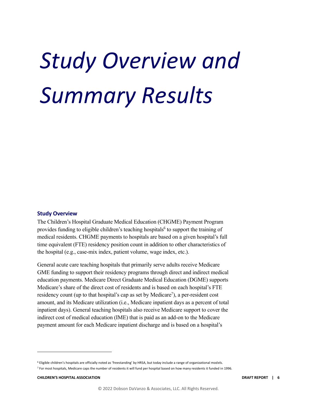## <span id="page-5-0"></span>*Study Overview and Summary Results*

### **Study Overview**

The Children's Hospital Graduate Medical Education (CHGME) Payment Program provides funding to eligible children's teaching hospitals<sup>6</sup> to support the training of medical residents. CHGME payments to hospitals are based on a given hospital's full time equivalent (FTE) residency position count in addition to other characteristics of the hospital (e.g., case-mix index, patient volume, wage index, etc.).

General acute care teaching hospitals that primarily serve adults receive Medicare GME funding to support their residency programs through direct and indirect medical education payments. Medicare Direct Graduate Medical Education (DGME) supports Medicare's share of the direct cost of residents and is based on each hospital's FTE residency count (up to that hospital's cap as set by Medicare<sup>7</sup>), a per-resident cost amount, and its Medicare utilization (i.e., Medicare inpatient days as a percent of total inpatient days). General teaching hospitals also receive Medicare support to cover the indirect cost of medical education (IME) that is paid as an add-on to the Medicare payment amount for each Medicare inpatient discharge and is based on a hospital's

<sup>6</sup> Eligible children's hospitals are officially noted as 'freestanding' by HRSA, but today include a range of organizational models.

 $7$  For most hospitals, Medicare caps the number of residents it will fund per hospital based on how many residents it funded in 1996.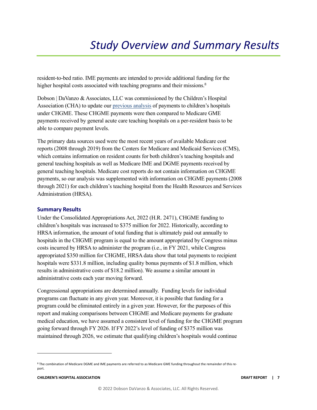resident-to-bed ratio. IME payments are intended to provide additional funding for the higher hospital costs associated with teaching programs and their missions.<sup>8</sup>

Dobson | DaVanzo & Associates, LLC was commissioned by the Children's Hospital Association (CHA) to update ou[r previous analysis](https://www.childrenshospitals.org/-/media/files/public-policy/chgme_workforce/reports/CHGME_Dobson_Report_Summary_April2018.pdf) of payments to children's hospitals under CHGME. These CHGME payments were then compared to Medicare GME payments received by general acute care teaching hospitals on a per-resident basis to be able to compare payment levels.

The primary data sources used were the most recent years of available Medicare cost reports (2008 through 2019) from the Centers for Medicare and Medicaid Services (CMS), which contains information on resident counts for both children's teaching hospitals and general teaching hospitals as well as Medicare IME and DGME payments received by general teaching hospitals. Medicare cost reports do not contain information on CHGME payments, so our analysis was supplemented with information on CHGME payments (2008 through 2021) for each children's teaching hospital from the Health Resources and Services Administration (HRSA).

### **Summary Results**

Under the Consolidated Appropriations Act, 2022 (H.R. 2471), CHGME funding to children's hospitals was increased to \$375 million for 2022. Historically, according to HRSA information, the amount of total funding that is ultimately paid out annually to hospitals in the CHGME program is equal to the amount appropriated by Congress minus costs incurred by HRSA to administer the program (i.e., in FY 2021, while Congress appropriated \$350 million for CHGME, HRSA data show that total payments to recipient hospitals were \$331.8 million, including quality bonus payments of \$1.8 million, which results in administrative costs of \$18.2 million). We assume a similar amount in administrative costs each year moving forward.

Congressional appropriations are determined annually. Funding levels for individual programs can fluctuate in any given year. Moreover, it is possible that funding for a program could be eliminated entirely in a given year. However, for the purposes of this report and making comparisons between CHGME and Medicare payments for graduate medical education, we have assumed a consistent level of funding for the CHGME program going forward through FY 2026. If FY 2022's level of funding of \$375 million was maintained through 2026, we estimate that qualifying children's hospitals would continue

<sup>8</sup> The combination of Medicare DGME and IME payments are referred to as Medicare GME funding throughout the remainder of this report.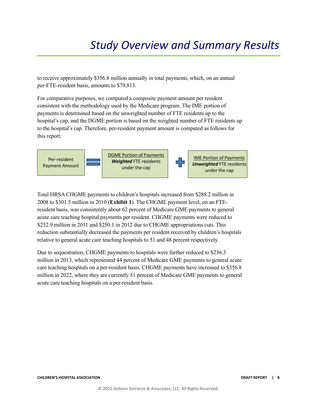## *Study Overview and Summary Results*

to receive approximately \$356.8 million annually in total payments, which, on an annual per-FTE-resident basis, amounts to \$79,813.

For comparative purposes, we computed a composite payment amount per resident consistent with the methodology used by the Medicare program. The IME portion of payments is determined based on the unweighted number of FTE residents up to the hospital's cap, and the DGME portion is based on the weighted number of FTE residents up to the hospital's cap. Therefore, per-resident payment amount is computed as follows for this report:



Total HRSA CHGME payments to children's hospitals increased from \$288.2 million in 2008 to \$301.5 million in 2010 (**Exhibit 1**). The CHGME payment level, on an FTEresident basis, was consistently about 62 percent of Medicare GME payments to general acute care teaching hospital payments per resident. CHGME payments were reduced to \$252.9 million in 2011 and \$250.1 in 2012 due to CHGME appropriations cuts. This reduction substantially decreased the payments per resident received by children's hospitals relative to general acute care teaching hospitals to 51 and 48 percent respectively.

Due to sequestration, CHGME payments to hospitals were further reduced to \$236.3 million in 2013, which represented 44 percent of Medicare GME payments to general acute care teaching hospitals on a per-resident basis. CHGME payments have increased to \$356.8 million in 2022, where they are currently 51 percent of Medicare GME payments to general acute care teaching hospitals on a per-resident basis.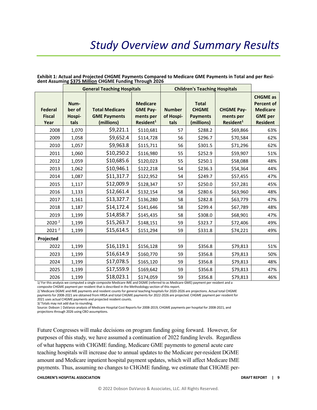### *Study Overview and Summary Results*

|                                         |                                  | <b>General Teaching Hospitals</b>                          |                                                                          |                                    | <b>Children's Teaching Hospitals</b>                          |                                                         |                                                                                              |  |
|-----------------------------------------|----------------------------------|------------------------------------------------------------|--------------------------------------------------------------------------|------------------------------------|---------------------------------------------------------------|---------------------------------------------------------|----------------------------------------------------------------------------------------------|--|
| <b>Federal</b><br><b>Fiscal</b><br>Year | Num-<br>ber of<br>Hospi-<br>tals | <b>Total Medicare</b><br><b>GME Payments</b><br>(millions) | <b>Medicare</b><br><b>GME Pay-</b><br>ments per<br>Resident <sup>1</sup> | <b>Number</b><br>of Hospi-<br>tals | <b>Total</b><br><b>CHGME</b><br><b>Payments</b><br>(millions) | <b>CHGME Pay-</b><br>ments per<br>Resident <sup>1</sup> | <b>CHGME</b> as<br><b>Percent of</b><br><b>Medicare</b><br><b>GME</b> per<br><b>Resident</b> |  |
| 2008                                    | 1,070                            | \$9,221.1                                                  | \$110,681                                                                | 57                                 | \$288.2                                                       | \$69,866                                                | 63%                                                                                          |  |
| 2009                                    | 1,058                            | \$9,652.4                                                  | \$114,728                                                                | 56                                 | \$296.7                                                       | \$70,584                                                | 62%                                                                                          |  |
| 2010                                    | 1,057                            | \$9,963.8                                                  | \$115,711                                                                | 56                                 | \$301.5                                                       | \$71,296                                                | 62%                                                                                          |  |
| 2011                                    | 1,060                            | \$10,250.2                                                 | \$116,980                                                                | 55                                 | \$252.9                                                       | \$59,907                                                | 51%                                                                                          |  |
| 2012                                    | 1,059                            | \$10,685.6                                                 | \$120,023                                                                | 55                                 | \$250.1                                                       | \$58,088                                                | 48%                                                                                          |  |
| 2013                                    | 1,062                            | \$10,946.1                                                 | \$122,218                                                                | 54                                 | \$236.3                                                       | \$54,364                                                | 44%                                                                                          |  |
| 2014                                    | 1,087                            | \$11,317.7                                                 | \$122,952                                                                | 54                                 | \$249.7                                                       | \$57,455                                                | 47%                                                                                          |  |
| 2015                                    | 1,117                            | \$12,009.9                                                 | \$128,347                                                                | 57                                 | \$250.0                                                       | \$57,281                                                | 45%                                                                                          |  |
| 2016                                    | 1,133                            | \$12,661.4                                                 | \$132,154                                                                | 58                                 | \$280.6                                                       | \$63,960                                                | 48%                                                                                          |  |
| 2017                                    | 1,161                            | \$13,327.7                                                 | \$136,280                                                                | 58                                 | \$282.8                                                       | \$63,779                                                | 47%                                                                                          |  |
| 2018                                    | 1,187                            | \$14,172.4                                                 | \$141,646                                                                | 58                                 | \$299.4                                                       | \$67,789                                                | 48%                                                                                          |  |
| 2019                                    | 1,199                            | \$14,858.7                                                 | \$145,435                                                                | 58                                 | \$308.0                                                       | \$68,901                                                | 47%                                                                                          |  |
| 2020 <sup>2</sup>                       | 1,199                            | \$15,263.7                                                 | \$148,151                                                                | 59                                 | \$323.7                                                       | \$72,406                                                | 49%                                                                                          |  |
| 2021 <sup>2</sup>                       | 1,199                            | \$15,614.5                                                 | \$151,294                                                                | 59                                 | \$331.8                                                       | \$74,221                                                | 49%                                                                                          |  |
| Projected                               |                                  |                                                            |                                                                          |                                    |                                                               |                                                         |                                                                                              |  |
| 2022                                    | 1,199                            | \$16,119.1                                                 | \$156,128                                                                | 59                                 | \$356.8                                                       | \$79,813                                                | 51%                                                                                          |  |
| 2023                                    | 1,199                            | \$16,614.9                                                 | \$160,770                                                                | 59                                 | \$356.8                                                       | \$79,813                                                | 50%                                                                                          |  |
| 2024                                    | 1,199                            | \$17,078.5                                                 | \$165,120                                                                | 59                                 | \$356.8                                                       | \$79,813                                                | 48%                                                                                          |  |
| 2025                                    | 1,199                            | \$17,559.9                                                 | \$169,642                                                                | 59                                 | \$356.8                                                       | \$79,813                                                | 47%                                                                                          |  |
| 2026                                    | 1,199                            | \$18,023.1                                                 | \$174,059                                                                | 59                                 | \$356.8                                                       | \$79,813                                                | 46%                                                                                          |  |

### **Exhibit 1: Actual and Projected CHGME Payments Compared to Medicare GME Payments in Total and per Resident Assuming \$375 Million CHGME Funding Through 2026**

1/ For this analysis we computed a single composite Medicare IME and DGME (referred to as Medicare GME) payment per resident and a composite CHGME payment per resident that is described in the Methodology section of this report.

2/ Medicare DGME and IME payments and resident counts for general teaching hospitals for 2020-2026 are projections. Actual total CHGME payments for 2008-2021 are obtained from HRSA and total CHGME payments for 2022-2026 are projected. CHGME payment per resident for 2021 uses actual CHGME payments and projected resident counts.

3/ Totals may not add due to rounding.

Source: Dobson | DaVanzo analysis of Medicare Hospital Cost Reports for 2008-2019, CHGME payments per hospital for 2008-2021, and projections through 2026 using CBO assumptions.

Future Congresses will make decisions on program funding going forward. However, for purposes of this study, we have assumed a continuation of 2022 funding levels. Regardless of what happens with CHGME funding, Medicare GME payments to general acute care teaching hospitals will increase due to annual updates to the Medicare per-resident DGME amount and Medicare inpatient hospital payment updates, which will affect Medicare IME payments. Thus, assuming no changes to CHGME funding, we estimate that CHGME per-

### **CHILDREN'S HOSPITAL ASSOCIATION DRAFT REPORT | 9**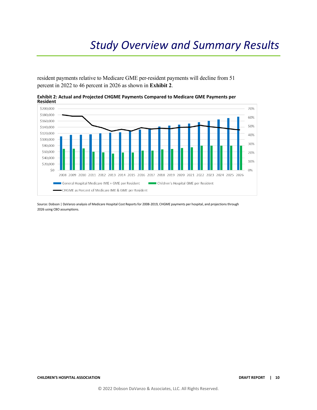resident payments relative to Medicare GME per-resident payments will decline from 51 percent in 2022 to 46 percent in 2026 as shown in **Exhibit 2**.



**Exhibit 2: Actual and Projected CHGME Payments Compared to Medicare GME Payments per Resident** 

Source: Dobson | DaVanzo analysis of Medicare Hospital Cost Reports for 2008-2019, CHGME payments per hospital, and projections through 2026 using CBO assumptions.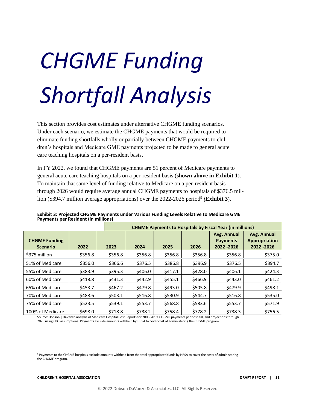# *CHGME Funding Shortfall Analysis*

This section provides cost estimates under alternative CHGME funding scenarios. Under each scenario, we estimate the CHGME payments that would be required to eliminate funding shortfalls wholly or partially between CHGME payments to children's hospitals and Medicare GME payments projected to be made to general acute care teaching hospitals on a per-resident basis.

In FY 2022, we found that CHGME payments are 51 percent of Medicare payments to general acute care teaching hospitals on a per-resident basis (**shown above in Exhibit 1**). To maintain that same level of funding relative to Medicare on a per-resident basis through 2026 would require average annual CHGME payments to hospitals of \$376.5 million (\$394.7 million average appropriations) over the 2022-2026 period<sup>9</sup> (Exhibit 3).

|                                         |         |         | <b>CHGME Payments to Hospitals by Fiscal Year (in millions)</b> |         |         |                                               |                                             |  |  |  |  |
|-----------------------------------------|---------|---------|-----------------------------------------------------------------|---------|---------|-----------------------------------------------|---------------------------------------------|--|--|--|--|
| <b>CHGME Funding</b><br><b>Scenario</b> | 2022    | 2023    | 2024                                                            | 2025    | 2026    | Avg. Annual<br><b>Payments</b><br>2022 - 2026 | Avg. Annual<br>Appropriation<br>2022 - 2026 |  |  |  |  |
| \$375 million                           | \$356.8 | \$356.8 | \$356.8                                                         | \$356.8 | \$356.8 | \$356.8                                       | \$375.0                                     |  |  |  |  |
| 51% of Medicare                         | \$356.0 | \$366.6 | \$376.5                                                         | \$386.8 | \$396.9 | \$376.5                                       | \$394.7                                     |  |  |  |  |
| 55% of Medicare                         | \$383.9 | \$395.3 | \$406.0                                                         | \$417.1 | \$428.0 | \$406.1                                       | \$424.3                                     |  |  |  |  |
| 60% of Medicare                         | \$418.8 | \$431.3 | \$442.9                                                         | \$455.1 | \$466.9 | \$443.0                                       | \$461.2                                     |  |  |  |  |
| 65% of Medicare                         | \$453.7 | \$467.2 | \$479.8                                                         | \$493.0 | \$505.8 | \$479.9                                       | \$498.1                                     |  |  |  |  |
| 70% of Medicare                         | \$488.6 | \$503.1 | \$516.8                                                         | \$530.9 | \$544.7 | \$516.8                                       | \$535.0                                     |  |  |  |  |
| 75% of Medicare                         | \$523.5 | \$539.1 | \$553.7                                                         | \$568.8 | \$583.6 | \$553.7                                       | \$571.9                                     |  |  |  |  |
| 100% of Medicare                        | \$698.0 | \$718.8 | \$738.2                                                         | \$758.4 | \$778.2 | \$738.3                                       | \$756.5                                     |  |  |  |  |

**Exhibit 3: Projected CHGME Payments under Various Funding Levels Relative to Medicare GME Payments per Resident (in millions)**

Source: Dobson | DaVanzo analysis of Medicare Hospital Cost Reports for 2008-2019, CHGME payments per hospital, and projections through 2026 using CBO assumptions. Payments exclude amounts withheld by HRSA to cover cost of administering the CHGME program.

<sup>9</sup> Payments to the CHGME hospitals exclude amounts withheld from the total appropriated funds by HRSA to cover the costs of administering the CHGME program.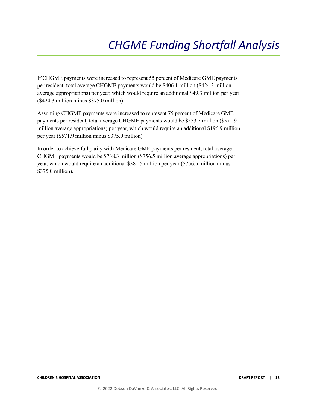If CHGME payments were increased to represent 55 percent of Medicare GME payments per resident, total average CHGME payments would be \$406.1 million (\$424.3 million average appropriations) per year, which would require an additional \$49.3 million per year (\$424.3 million minus \$375.0 million).

Assuming CHGME payments were increased to represent 75 percent of Medicare GME payments per resident, total average CHGME payments would be \$553.7 million (\$571.9 million average appropriations) per year, which would require an additional \$196.9 million per year (\$571.9 million minus \$375.0 million).

In order to achieve full parity with Medicare GME payments per resident, total average CHGME payments would be \$738.3 million (\$756.5 million average appropriations) per year, which would require an additional \$381.5 million per year (\$756.5 million minus \$375.0 million).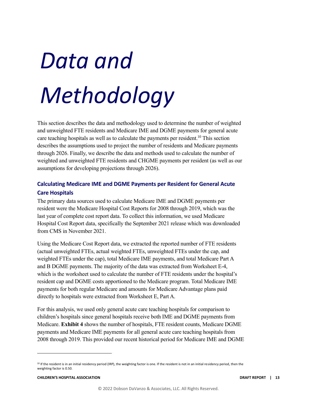This section describes the data and methodology used to determine the number of weighted and unweighted FTE residents and Medicare IME and DGME payments for general acute care teaching hospitals as well as to calculate the payments per resident.<sup>10</sup> This section describes the assumptions used to project the number of residents and Medicare payments through 2026. Finally, we describe the data and methods used to calculate the number of weighted and unweighted FTE residents and CHGME payments per resident (as well as our assumptions for developing projections through 2026).

### **Calculating Medicare IME and DGME Payments per Resident for General Acute Care Hospitals**

The primary data sources used to calculate Medicare IME and DGME payments per resident were the Medicare Hospital Cost Reports for 2008 through 2019, which was the last year of complete cost report data. To collect this information, we used Medicare Hospital Cost Report data, specifically the September 2021 release which was downloaded from CMS in November 2021.

Using the Medicare Cost Report data, we extracted the reported number of FTE residents (actual unweighted FTEs, actual weighted FTEs, unweighted FTEs under the cap, and weighted FTEs under the cap), total Medicare IME payments, and total Medicare Part A and B DGME payments. The majority of the data was extracted from Worksheet E-4, which is the worksheet used to calculate the number of FTE residents under the hospital's resident cap and DGME costs apportioned to the Medicare program. Total Medicare IME payments for both regular Medicare and amounts for Medicare Advantage plans paid directly to hospitals were extracted from Worksheet E, Part A.

For this analysis, we used only general acute care teaching hospitals for comparison to children's hospitals since general hospitals receive both IME and DGME payments from Medicare. **Exhibit 4** shows the number of hospitals, FTE resident counts, Medicare DGME payments and Medicare IME payments for all general acute care teaching hospitals from 2008 through 2019. This provided our recent historical period for Medicare IME and DGME

<sup>10</sup> If the resident is in an initial residency period (IRP), the weighting factor is one. If the resident is not in an initial residency period, then the weighting factor is 0.50.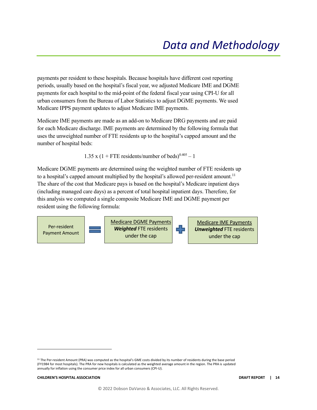payments per resident to these hospitals. Because hospitals have different cost reporting periods, usually based on the hospital's fiscal year, we adjusted Medicare IME and DGME payments for each hospital to the mid-point of the federal fiscal year using CPI-U for all urban consumers from the Bureau of Labor Statistics to adjust DGME payments. We used Medicare IPPS payment updates to adjust Medicare IME payments.

Medicare IME payments are made as an add-on to Medicare DRG payments and are paid for each Medicare discharge. IME payments are determined by the following formula that uses the unweighted number of FTE residents up to the hospital's capped amount and the number of hospital beds:

1.35 x (1 + FTE residents/number of beds) $0.405 - 1$ 

Medicare DGME payments are determined using the weighted number of FTE residents up to a hospital's capped amount multiplied by the hospital's allowed per-resident amount.<sup>11</sup> The share of the cost that Medicare pays is based on the hospital's Medicare inpatient days (including managed care days) as a percent of total hospital inpatient days. Therefore, for this analysis we computed a single composite Medicare IME and DGME payment per resident using the following formula:



<sup>&</sup>lt;sup>11</sup> The Per-resident Amount (PRA) was computed as the hospital's GME costs divided by its number of residents during the base period (FY1984 for most hospitals). The PRA for new hospitals is calculated as the weighted average amount in the region. The PRA is updated annually for inflation using the consumer price index for all urban consumers (CPI-U).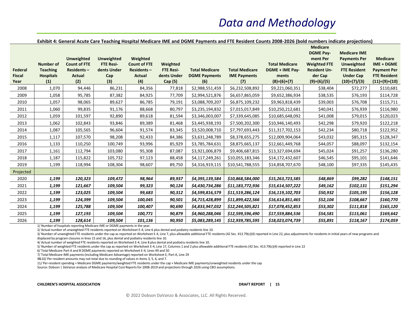### **Exhibit 4: General Acute Care Teaching Hospital Medicare IME and DGME Payments and FTE Resident Counts 2008-2026 (bold numbers indicate projections)**

| Federal<br><b>Fiscal</b><br>Year | <b>Number of</b><br><b>Teaching</b><br><b>Hospitals</b><br>(1) | <b>Unweighted</b><br><b>Count of FTE</b><br>Residents-<br>Actual<br>(2) | <b>Unweighted</b><br><b>FTE Resi-</b><br>dents Under<br>Cap<br>(3) | Weighted<br><b>Count of FTE</b><br>Residents-<br><b>Actual</b><br>(4) | Weighted<br><b>FTE Resi-</b><br>dents Under<br>Cap (5) | <b>Total Medicare</b><br><b>DGME Payments</b><br>(6) | <b>Total Medicare</b><br><b>IME Payments</b><br>(7) | <b>Total Medicare</b><br>DGME + IME Pay-<br>ments<br>$(8)=(6)+(7)$ | <b>Medicare</b><br><b>DGME Pay-</b><br>ment Per<br><b>Weighted FTE</b><br><b>Resident Un-</b><br>der Cap<br>$(9)=(6)/(5)$ | <b>Medicare IME</b><br><b>Payments Per</b><br><b>Unweighted</b><br><b>FTE Resident</b><br><b>Under Cap</b><br>$(10)=(7)/(3)$ | <b>Medicare</b><br>IME + DGME<br><b>Payment Per</b><br><b>FTE Resident</b><br>$(11)= (9)+(10)$ |
|----------------------------------|----------------------------------------------------------------|-------------------------------------------------------------------------|--------------------------------------------------------------------|-----------------------------------------------------------------------|--------------------------------------------------------|------------------------------------------------------|-----------------------------------------------------|--------------------------------------------------------------------|---------------------------------------------------------------------------------------------------------------------------|------------------------------------------------------------------------------------------------------------------------------|------------------------------------------------------------------------------------------------|
| 2008                             | 1,070                                                          | 94,446                                                                  | 86,231                                                             | 84,356                                                                | 77,818                                                 | \$2,988,551,459                                      | \$6,232,508,892                                     | \$9,221,060,351                                                    | \$38,404                                                                                                                  | \$72,277                                                                                                                     | \$110,681                                                                                      |
| 2009                             | 1,058                                                          | 95,785                                                                  | 87,382                                                             | 84,925                                                                | 77,709                                                 | \$2,994,521,876                                      | \$6,657,865,059                                     | \$9,652,386,934                                                    | \$38,535                                                                                                                  | \$76,193                                                                                                                     | \$114,728                                                                                      |
| 2010                             | 1,057                                                          | 98,065                                                                  | 89,627                                                             | 86,785                                                                | 79,191                                                 | \$3,088,709,207                                      | \$6,875,109,232                                     | \$9,963,818,439                                                    | \$39,003                                                                                                                  | \$76,708                                                                                                                     | \$115,711                                                                                      |
| 2011                             | 1,060                                                          | 99,835                                                                  | 91,176                                                             | 88,668                                                                | 80,797                                                 | \$3,235,194,832                                      | \$7,015,017,849                                     | \$10,250,212,681                                                   | \$40,041                                                                                                                  | \$76,939                                                                                                                     | \$116,980                                                                                      |
| 2012                             | 1,059                                                          | 101,597                                                                 | 92,890                                                             | 89,618                                                                | 81,594                                                 | \$3,346,003,007                                      | \$7,339,645,085                                     | \$10,685,648,092                                                   | \$41,008                                                                                                                  | \$79,015                                                                                                                     | \$120,023                                                                                      |
| 2013                             | 1,062                                                          | 102,843                                                                 | 93,846                                                             | 89,389                                                                | 81,468                                                 | \$3,445,938,193                                      | \$7,500,202,300                                     | \$10,946,140,493                                                   | \$42,298                                                                                                                  | \$79,920                                                                                                                     | \$122,218                                                                                      |
| 2014                             | 1,087                                                          | 105,565                                                                 | 96,604                                                             | 91,574                                                                | 83,345                                                 | \$3,520,008,710                                      | \$7,797,693,443                                     | \$11,317,702,153                                                   | \$42,234                                                                                                                  | \$80,718                                                                                                                     | \$122,952                                                                                      |
| 2015                             | 1,117                                                          | 107,570                                                                 | 98,208                                                             | 92,433                                                                | 84,386                                                 | \$3,631,248,789                                      | \$8,378,655,275                                     | \$12,009,904,064                                                   | \$43,032                                                                                                                  | \$85,315                                                                                                                     | \$128,347                                                                                      |
| 2016                             | 1,133                                                          | 110,250                                                                 | 100,749                                                            | 93,996                                                                | 85,929                                                 | \$3,785,784,631                                      | \$8,875,665,137                                     | \$12,661,449,768                                                   | \$44,057                                                                                                                  | \$88,097                                                                                                                     | \$132,154                                                                                      |
| 2017                             | 1,161                                                          | 112,794                                                                 | 103,080                                                            | 95,308                                                                | 87,087                                                 | \$3,921,006,879                                      | \$9,406,687,815                                     | \$13,327,694,694                                                   | \$45,024                                                                                                                  | \$91,257                                                                                                                     | \$136,280                                                                                      |
| 2018                             | 1,187                                                          | 115,822                                                                 | 105,732                                                            | 97,123                                                                | 88,458                                                 | \$4,117,249,261                                      | \$10,055,183,346                                    | \$14,172,432,607                                                   | \$46,545                                                                                                                  | \$95,101                                                                                                                     | \$141,646                                                                                      |
| 2019                             | 1,199                                                          | 118,994                                                                 | 108,304                                                            | 98,607                                                                | 89,750                                                 | \$4,316,919,115                                      | \$10,541,788,555                                    | \$14,858,707,670                                                   | \$48,100                                                                                                                  | \$97,335                                                                                                                     | \$145,435                                                                                      |
| Projected                        |                                                                |                                                                         |                                                                    |                                                                       |                                                        |                                                      |                                                     |                                                                    |                                                                                                                           |                                                                                                                              |                                                                                                |
| 2020                             | 1,199                                                          | 120,323                                                                 | 109,472                                                            | 98,964                                                                | 89,937                                                 | \$4,395,139,584                                      | \$10,868,584,000                                    | \$15,263,723,585                                                   | \$48,869                                                                                                                  | \$99,282                                                                                                                     | \$148,151                                                                                      |
| 2021                             | 1,199                                                          | 121,667                                                                 | 109,504                                                            | 99,323                                                                | 90,124                                                 | \$4,430,734,286                                      | \$11,183,772,936                                    | \$15,614,507,222                                                   | \$49,162                                                                                                                  | \$102,131                                                                                                                    | \$151,294                                                                                      |
| 2022                             | 1,199                                                          | 123,025                                                                 | 109,504                                                            | 99,683                                                                | 90,312                                                 | \$4,599,816,579                                      | \$11,519,286,124                                    | \$16,119,102,703                                                   | \$50,932                                                                                                                  | \$105,195                                                                                                                    | \$156,128                                                                                      |
| 2023                             | 1,199                                                          | 124,399                                                                 | 109,504                                                            | 100,045                                                               | 90,501                                                 | \$4,715,428,899                                      | \$11,899,422,566                                    | \$16,614,851,465                                                   | \$52,104                                                                                                                  | \$108,667                                                                                                                    | \$160,770                                                                                      |
| 2024                             | 1,199                                                          | 125,788                                                                 | 109,504                                                            | 100,407                                                               | 90,690                                                 | \$4,833,947,032                                      | \$12,244,505,821                                    | \$17,078,452,853                                                   | \$53,302                                                                                                                  | \$111,818                                                                                                                    | \$165,120                                                                                      |
| 2025                             | 1,199                                                          | 127,193                                                                 | 109,504                                                            | 100,771                                                               | 90,879                                                 | \$4,960,288,046                                      | \$12,599,596,490                                    | \$17,559,884,536                                                   | \$54,581                                                                                                                  | \$115,061                                                                                                                    | \$169,642                                                                                      |
| 2026                             | 1,199                                                          | 128,614                                                                 | 109,504                                                            | 101,136                                                               | 90,950                                                 | \$5,083,289,145                                      | \$12,939,785,595                                    | \$18,023,074,739                                                   | \$55,891                                                                                                                  | \$118,167                                                                                                                    | \$174,059                                                                                      |

1/ Number of hospitals reporting Medicare IME or DGME payments in the year.

2/ Actual number of unweighted FTE residents reported on Worksheet E-4, Line 6 plus dental and podiatry residents line 10.

3/ Number of unweighted FTE residents under the cap as reported on Worksheet E-4, Line 7, plus allowable additional FTE residents (42 Sec. 413.79(c)(4) reported in Line 22, plus adjustments for residents in initial years o displaced by program closures in lines 15 and 16, plus dental and podiatry residents line 10.

4/ Actual number of weighted FTE residents reported on Worksheet E-4, Line 8 plus dental and podiatry residents line 10.

5/ Number of weighted FTE residents under the cap as reported on Worksheet E-4, Line 17, Columns 1 and 2 plus allowable additional FTE residents (42 Sec. 413.79(c)(4) reported in Line 22

6/ Total Medicare Part A and B DGME payments reported on Worksheet E-4, Lines 49 and 50

7/ Total Medicare IME payments (including Medicare Advantage) reported on Worksheet E, Part A, Line 29

9&10/ Per-resident amounts may not total due to rounding of values in items 3, 5, 6, and 7.

11/ Per-resident spending = Medicare DGME payments/weighted FTE residents under the cap + Medicare IME payments/unweighted residents under the cap

Source: Dobson | DaVanzo analysis of Medicare Hospital Cost Reports for 2008-2019 and projections through 2026 using CBO assumptions.

#### **CHILDREN'S HOSPITAL ASSOCIATION DRAFT REPORT | 15**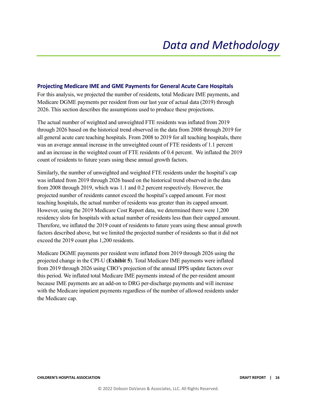### **Projecting Medicare IME and GME Payments for General Acute Care Hospitals**

For this analysis, we projected the number of residents, total Medicare IME payments, and Medicare DGME payments per resident from our last year of actual data (2019) through 2026. This section describes the assumptions used to produce these projections.

The actual number of weighted and unweighted FTE residents was inflated from 2019 through 2026 based on the historical trend observed in the data from 2008 through 2019 for all general acute care teaching hospitals. From 2008 to 2019 for all teaching hospitals, there was an average annual increase in the unweighted count of FTE residents of 1.1 percent and an increase in the weighted count of FTE residents of 0.4 percent. We inflated the 2019 count of residents to future years using these annual growth factors.

Similarly, the number of unweighted and weighted FTE residents under the hospital's cap was inflated from 2019 through 2026 based on the historical trend observed in the data from 2008 through 2019, which was 1.1 and 0.2 percent respectively. However, the projected number of residents cannot exceed the hospital's capped amount. For most teaching hospitals, the actual number of residents was greater than its capped amount. However, using the 2019 Medicare Cost Report data, we determined there were 1,200 residency slots for hospitals with actual number of residents less than their capped amount. Therefore, we inflated the 2019 count of residents to future years using these annual growth factors described above, but we limited the projected number of residents so that it did not exceed the 2019 count plus 1,200 residents.

Medicare DGME payments per resident were inflated from 2019 through 2026 using the projected change in the CPI-U (**Exhibit 5**). Total Medicare IME payments were inflated from 2019 through 2026 using CBO's projection of the annual IPPS update factors over this period. We inflated total Medicare IME payments instead of the per-resident amount because IME payments are an add-on to DRG per-discharge payments and will increase with the Medicare inpatient payments regardless of the number of allowed residents under the Medicare cap.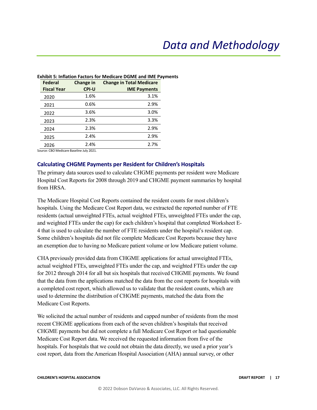| <b>Federal</b>     | <b>Change in</b> | <b>Change in Total Medicare</b> |
|--------------------|------------------|---------------------------------|
| <b>Fiscal Year</b> | <b>CPI-U</b>     | <b>IME Payments</b>             |
| 2020               | 1.6%             | 3.1%                            |
| 2021               | 0.6%             | 2.9%                            |
| 2022               | 3.6%             | 3.0%                            |
| 2023               | 2.3%             | 3.3%                            |
| 2024               | 2.3%             | 2.9%                            |
| 2025               | 2.4%             | 2.9%                            |
| 2026               | 2.4%             | 2.7%                            |

### **Exhibit 5: Inflation Factors for Medicare DGME and IME Payments**

Source: CBO Medicare Baseline July 2021.

### **Calculating CHGME Payments per Resident for Children's Hospitals**

The primary data sources used to calculate CHGME payments per resident were Medicare Hospital Cost Reports for 2008 through 2019 and CHGME payment summaries by hospital from HRSA.

The Medicare Hospital Cost Reports contained the resident counts for most children's hospitals. Using the Medicare Cost Report data, we extracted the reported number of FTE residents (actual unweighted FTEs, actual weighted FTEs, unweighted FTEs under the cap, and weighted FTEs under the cap) for each children's hospital that completed Worksheet E-4 that is used to calculate the number of FTE residents under the hospital's resident cap. Some children's hospitals did not file complete Medicare Cost Reports because they have an exemption due to having no Medicare patient volume or low Medicare patient volume.

CHA previously provided data from CHGME applications for actual unweighted FTEs, actual weighted FTEs, unweighted FTEs under the cap, and weighted FTEs under the cap for 2012 through 2014 for all but six hospitals that received CHGME payments. We found that the data from the applications matched the data from the cost reports for hospitals with a completed cost report, which allowed us to validate that the resident counts, which are used to determine the distribution of CHGME payments, matched the data from the Medicare Cost Reports.

We solicited the actual number of residents and capped number of residents from the most recent CHGME applications from each of the seven children's hospitals that received CHGME payments but did not complete a full Medicare Cost Report or had questionable Medicare Cost Report data. We received the requested information from five of the hospitals. For hospitals that we could not obtain the data directly, we used a prior year's cost report, data from the American Hospital Association (AHA) annual survey, or other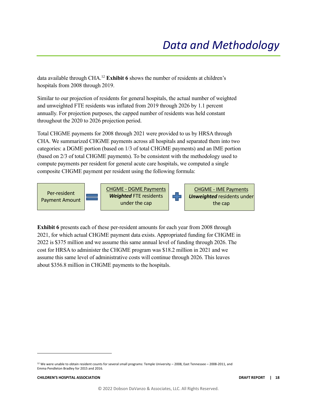data available through CHA. <sup>12</sup> **Exhibit 6** shows the number of residents at children's hospitals from 2008 through 2019.

Similar to our projection of residents for general hospitals, the actual number of weighted and unweighted FTE residents was inflated from 2019 through 2026 by 1.1 percent annually. For projection purposes, the capped number of residents was held constant throughout the 2020 to 2026 projection period.

Total CHGME payments for 2008 through 2021 were provided to us by HRSA through CHA. We summarized CHGME payments across all hospitals and separated them into two categories: a DGME portion (based on 1/3 of total CHGME payments) and an IME portion (based on 2/3 of total CHGME payments). To be consistent with the methodology used to compute payments per resident for general acute care hospitals, we computed a single composite CHGME payment per resident using the following formula:



**Exhibit 6** presents each of these per-resident amounts for each year from 2008 through 2021, for which actual CHGME payment data exists. Appropriated funding for CHGME in 2022 is \$375 million and we assume this same annual level of funding through 2026. The cost for HRSA to administer the CHGME program was \$18.2 million in 2021 and we assume this same level of administrative costs will continue through 2026. This leaves about \$356.8 million in CHGME payments to the hospitals.

<sup>12</sup> We were unable to obtain resident counts for several small programs: Temple University – 2008, East Tennessee – 2008-2011, and Emma Pendleton Bradley for 2015 and 2016.